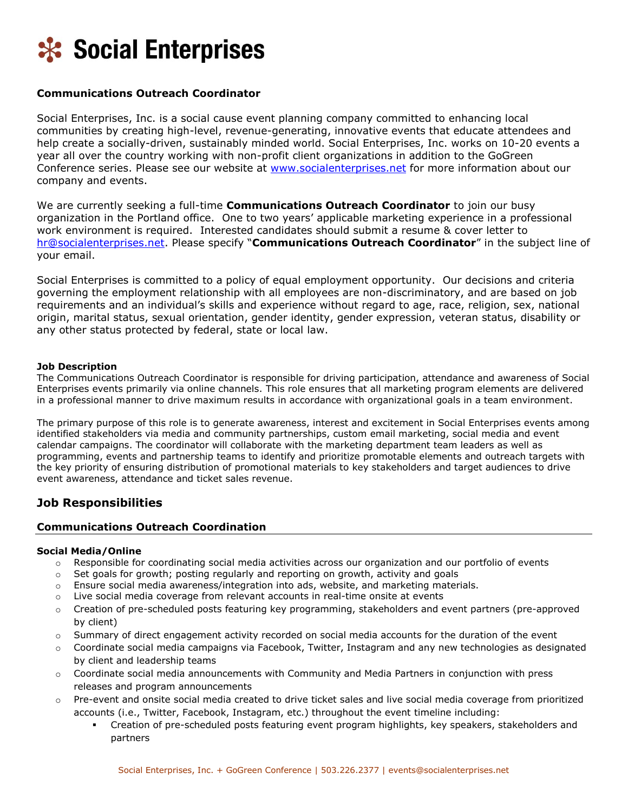

## **Communications Outreach Coordinator**

Social Enterprises, Inc. is a social cause event planning company committed to enhancing local communities by creating high-level, revenue-generating, innovative events that educate attendees and help create a socially-driven, sustainably minded world. Social Enterprises, Inc. works on 10-20 events a year all over the country working with non-profit client organizations in addition to the GoGreen Conference series. Please see our website at [www.socialenterprises.net](http://www.socialenterprises.net/) for more information about our company and events.

We are currently seeking a full-time **Communications Outreach Coordinator** to join our busy organization in the Portland office. One to two years' applicable marketing experience in a professional work environment is required. Interested candidates should submit a resume & cover letter to [hr@socialenterprises.net.](mailto:hr@socialenterprises.net) Please specify "**Communications Outreach Coordinator**" in the subject line of your email.

Social Enterprises is committed to a policy of equal employment opportunity. Our decisions and criteria governing the employment relationship with all employees are non-discriminatory, and are based on job requirements and an individual's skills and experience without regard to age, race, religion, sex, national origin, marital status, sexual orientation, gender identity, gender expression, veteran status, disability or any other status protected by federal, state or local law.

#### **Job Description**

The Communications Outreach Coordinator is responsible for driving participation, attendance and awareness of Social Enterprises events primarily via online channels. This role ensures that all marketing program elements are delivered in a professional manner to drive maximum results in accordance with organizational goals in a team environment.

The primary purpose of this role is to generate awareness, interest and excitement in Social Enterprises events among identified stakeholders via media and community partnerships, custom email marketing, social media and event calendar campaigns. The coordinator will collaborate with the marketing department team leaders as well as programming, events and partnership teams to identify and prioritize promotable elements and outreach targets with the key priority of ensuring distribution of promotional materials to key stakeholders and target audiences to drive event awareness, attendance and ticket sales revenue.

# **Job Responsibilities**

### **Communications Outreach Coordination**

#### **Social Media/Online**

- o Responsible for coordinating social media activities across our organization and our portfolio of events
- $\circ$  Set goals for growth; posting regularly and reporting on growth, activity and goals
- o Ensure social media awareness/integration into ads, website, and marketing materials.
- o Live social media coverage from relevant accounts in real-time onsite at events
- o Creation of pre-scheduled posts featuring key programming, stakeholders and event partners (pre-approved by client)
- Summary of direct engagement activity recorded on social media accounts for the duration of the event
- o Coordinate social media campaigns via Facebook, Twitter, Instagram and any new technologies as designated by client and leadership teams
- o Coordinate social media announcements with Community and Media Partners in conjunction with press releases and program announcements
- o Pre-event and onsite social media created to drive ticket sales and live social media coverage from prioritized accounts (i.e., Twitter, Facebook, Instagram, etc.) throughout the event timeline including:
	- Creation of pre-scheduled posts featuring event program highlights, key speakers, stakeholders and partners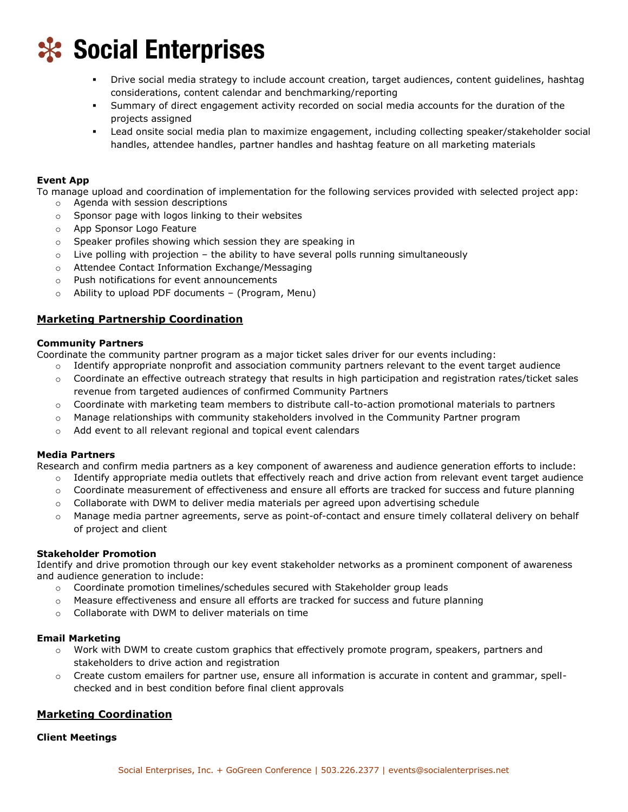

- Drive social media strategy to include account creation, target audiences, content guidelines, hashtag considerations, content calendar and benchmarking/reporting
- Summary of direct engagement activity recorded on social media accounts for the duration of the projects assigned
- Lead onsite social media plan to maximize engagement, including collecting speaker/stakeholder social handles, attendee handles, partner handles and hashtag feature on all marketing materials

#### **Event App**

To manage upload and coordination of implementation for the following services provided with selected project app:

- o Agenda with session descriptions
- o Sponsor page with logos linking to their websites
- o App Sponsor Logo Feature
- o Speaker profiles showing which session they are speaking in
- $\circ$  Live polling with projection the ability to have several polls running simultaneously
- o Attendee Contact Information Exchange/Messaging
- o Push notifications for event announcements
- o Ability to upload PDF documents (Program, Menu)

## **Marketing Partnership Coordination**

#### **Community Partners**

Coordinate the community partner program as a major ticket sales driver for our events including:

- o Identify appropriate nonprofit and association community partners relevant to the event target audience
- o Coordinate an effective outreach strategy that results in high participation and registration rates/ticket sales revenue from targeted audiences of confirmed Community Partners
- o Coordinate with marketing team members to distribute call-to-action promotional materials to partners
- $\circ$  Manage relationships with community stakeholders involved in the Community Partner program
- $\circ$  Add event to all relevant regional and topical event calendars

#### **Media Partners**

Research and confirm media partners as a key component of awareness and audience generation efforts to include:

- $\circ$  Identify appropriate media outlets that effectively reach and drive action from relevant event target audience
- o Coordinate measurement of effectiveness and ensure all efforts are tracked for success and future planning
- $\circ$  Collaborate with DWM to deliver media materials per agreed upon advertising schedule
- o Manage media partner agreements, serve as point-of-contact and ensure timely collateral delivery on behalf of project and client

#### **Stakeholder Promotion**

Identify and drive promotion through our key event stakeholder networks as a prominent component of awareness and audience generation to include:

- o Coordinate promotion timelines/schedules secured with Stakeholder group leads
- $\circ$  Measure effectiveness and ensure all efforts are tracked for success and future planning
- o Collaborate with DWM to deliver materials on time

#### **Email Marketing**

- $\circ$  Work with DWM to create custom graphics that effectively promote program, speakers, partners and stakeholders to drive action and registration
- $\circ$  Create custom emailers for partner use, ensure all information is accurate in content and grammar, spellchecked and in best condition before final client approvals

## **Marketing Coordination**

#### **Client Meetings**